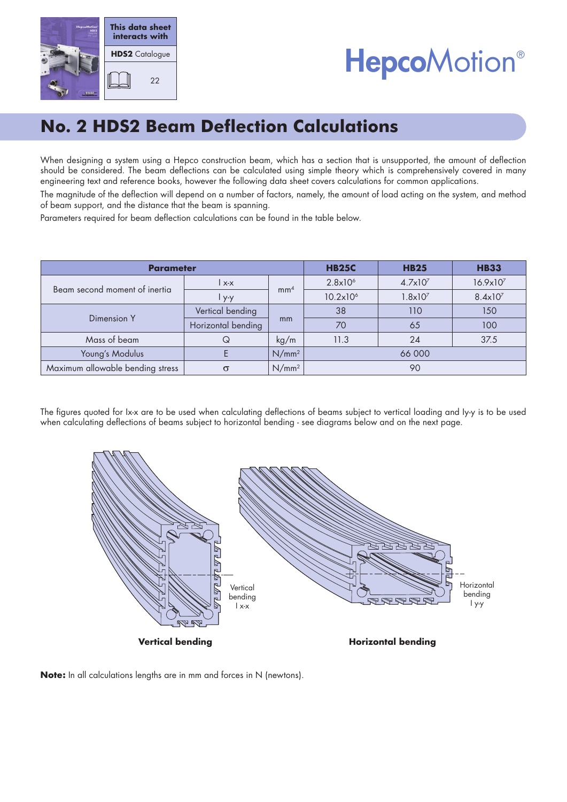

# **HepcoMotion®**

## **No. 2 HDS2 Beam Deflection Calculations**

When designing a system using a Hepco construction beam, which has a section that is unsupported, the amount of deflection should be considered. The beam deflections can be calculated using simple theory which is comprehensively covered in many engineering text and reference books, however the following data sheet covers calculations for common applications.

The magnitude of the deflection will depend on a number of factors, namely, the amount of load acting on the system, and method of beam support, and the distance that the beam is spanning.

Parameters required for beam deflection calculations can be found in the table below.

| <b>Parameter</b>                 |                    |                 | <b>HB25C</b>         | <b>HB25</b>         | <b>HB33</b>          |
|----------------------------------|--------------------|-----------------|----------------------|---------------------|----------------------|
| Beam second moment of inertia    | l x-x              | mm <sup>4</sup> | 2.8x10 <sup>6</sup>  | 4.7x10 <sup>7</sup> | 16.9x10 <sup>7</sup> |
|                                  | $4 - 9 - 9$        |                 | 10.2x10 <sup>6</sup> | $1.8 \times 10^{7}$ | $8.4 \times 10^{7}$  |
| Dimension Y                      | Vertical bending   | mm              | 38                   | 110                 | 150                  |
|                                  | Horizontal bending |                 | 70                   | 65                  | 100                  |
| Mass of beam                     | Q                  | kg/m            | 11.3                 | 24                  | 37.5                 |
| Young's Modulus                  |                    | $N/mm^2$        | 66 000               |                     |                      |
| Maximum allowable bending stress | $\sigma$           | $N/mm^2$        | 90                   |                     |                      |

The figures quoted for Ix-x are to be used when calculating deflections of beams subject to vertical loading and Iy-y is to be used when calculating deflections of beams subject to horizontal bending - see diagrams below and on the next page.



**Note:** In all calculations lengths are in mm and forces in N (newtons).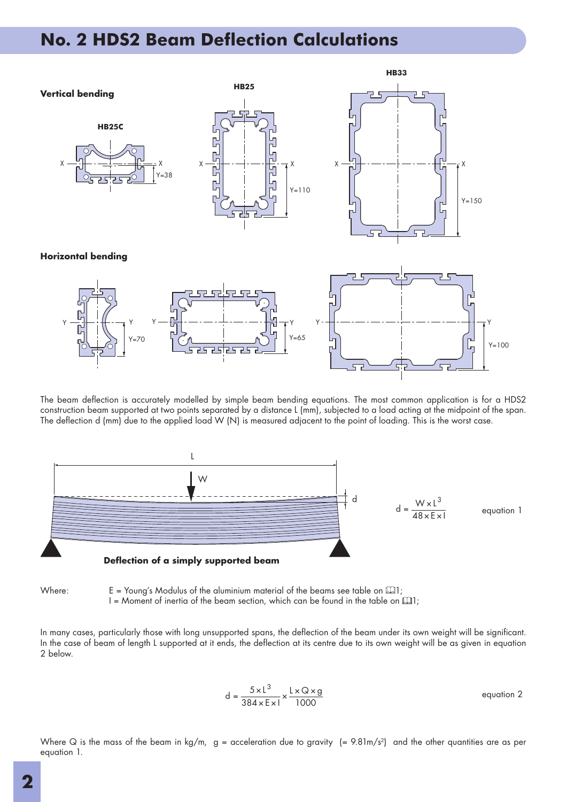### **No. 2 HDS2 Beam Deflection Calculations**



The beam deflection is accurately modelled by simple beam bending equations. The most common application is for a HDS2 construction beam supported at two points separated by a distance L (mm), subjected to a load acting at the midpoint of the span. The deflection d (mm) due to the applied load W (N) is measured adjacent to the point of loading. This is the worst case.



Where:  $E = \text{Young's Modulus of the aluminum material of the beams see table on  $[1]$ :$ I = Moment of inertia of the beam section, which can be found in the table on  $\Box$ 1;

In many cases, particularly those with long unsupported spans, the deflection of the beam under its own weight will be significant. In the case of beam of length L supported at it ends, the deflection at its centre due to its own weight will be as given in equation 2 below.

$$
d = \frac{5 \times L^3}{384 \times E \times 1} \times \frac{L \times Q \times g}{1000}
$$
 equation 2

Where Q is the mass of the beam in kg/m,  $g =$  acceleration due to gravity  $(= 9.81 \text{m/s}^2)$  and the other quantities are as per equation 1.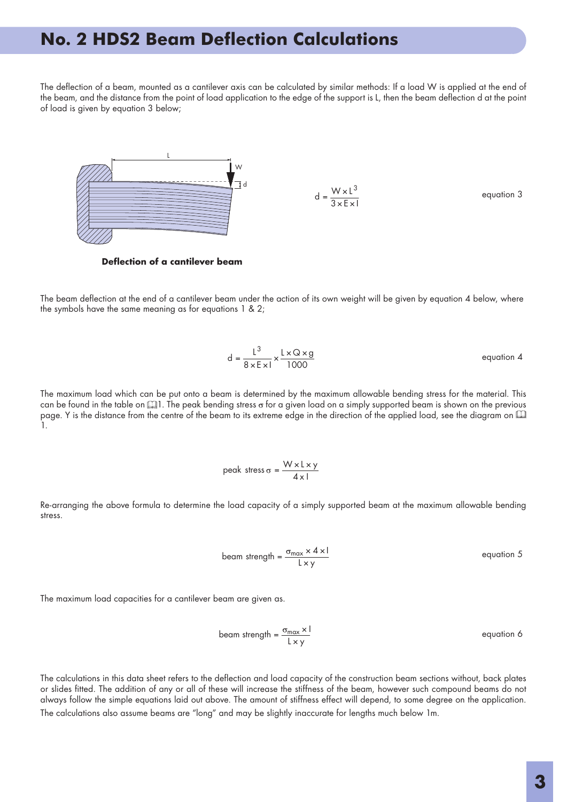#### **No. 2 HDS2 Beam Deflection Calculations**

The deflection of a beam, mounted as a cantilever axis can be calculated by similar methods: If a load W is applied at the end of the beam, and the distance from the point of load application to the edge of the support is L, then the beam deflection d at the point of load is given by equation 3 below;



**Defl ection of a cantilever beam**

The beam deflection at the end of a cantilever beam under the action of its own weight will be given by equation 4 below, where the symbols have the same meaning as for equations 1 & 2;

$$
d = \frac{L^3}{8 \times E \times 1} \times \frac{L \times Q \times g}{1000}
$$
 equation 4

The maximum load which can be put onto a beam is determined by the maximum allowable bending stress for the material. This can be found in the table on  $\Box$  The peak bending stress o for a given load on a simply supported beam is shown on the previous page. Y is the distance from the centre of the beam to its extreme edge in the direction of the applied load, see the diagram on  $\square$ 1.

peak stress 
$$
\sigma = \frac{W \times L \times y}{4 \times L}
$$

Re-arranging the above formula to determine the load capacity of a simply supported beam at the maximum allowable bending stress.

$$
beam strength = \frac{\sigma_{max} \times 4 \times 1}{L \times y}
$$
 equation 5

The maximum load capacities for a cantilever beam are given as.

$$
beam strength = \frac{\sigma_{max} \times l}{L \times y}
$$
 equation 6

The calculations in this data sheet refers to the deflection and load capacity of the construction beam sections without, back plates or slides fi tted. The addition of any or all of these will increase the stiffness of the beam, however such compound beams do not always follow the simple equations laid out above. The amount of stiffness effect will depend, to some degree on the application. The calculations also assume beams are "long" and may be slightly inaccurate for lengths much below 1m.